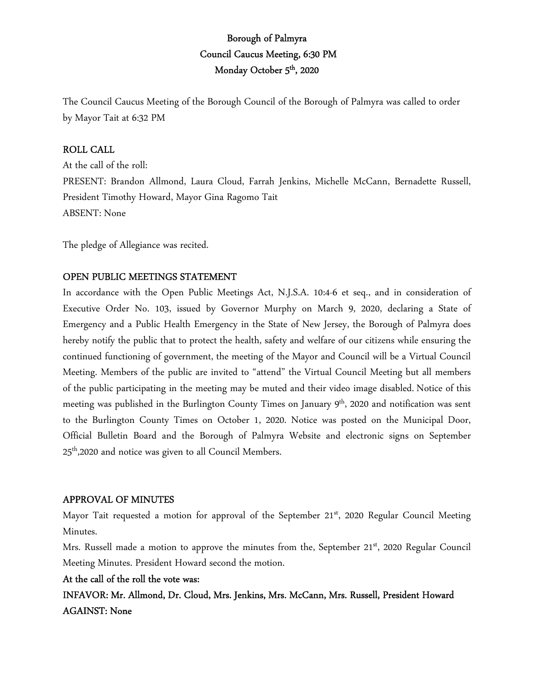# Borough of Palmyra Council Caucus Meeting, 6:30 PM Monday October 5<sup>th</sup>, 2020

The Council Caucus Meeting of the Borough Council of the Borough of Palmyra was called to order by Mayor Tait at 6:32 PM

# ROLL CALL

At the call of the roll: PRESENT: Brandon Allmond, Laura Cloud, Farrah Jenkins, Michelle McCann, Bernadette Russell, President Timothy Howard, Mayor Gina Ragomo Tait ABSENT: None

The pledge of Allegiance was recited.

# OPEN PUBLIC MEETINGS STATEMENT

In accordance with the Open Public Meetings Act, N.J.S.A. 10:4-6 et seq., and in consideration of Executive Order No. 103, issued by Governor Murphy on March 9, 2020, declaring a State of Emergency and a Public Health Emergency in the State of New Jersey, the Borough of Palmyra does hereby notify the public that to protect the health, safety and welfare of our citizens while ensuring the continued functioning of government, the meeting of the Mayor and Council will be a Virtual Council Meeting. Members of the public are invited to "attend" the Virtual Council Meeting but all members of the public participating in the meeting may be muted and their video image disabled. Notice of this meeting was published in the Burlington County Times on January 9<sup>th</sup>, 2020 and notification was sent to the Burlington County Times on October 1, 2020. Notice was posted on the Municipal Door, Official Bulletin Board and the Borough of Palmyra Website and electronic signs on September 25<sup>th</sup>,2020 and notice was given to all Council Members.

## APPROVAL OF MINUTES

Mayor Tait requested a motion for approval of the September  $21<sup>st</sup>$ , 2020 Regular Council Meeting Minutes.

Mrs. Russell made a motion to approve the minutes from the, September  $21<sup>st</sup>$ , 2020 Regular Council Meeting Minutes. President Howard second the motion.

## At the call of the roll the vote was:

INFAVOR: Mr. Allmond, Dr. Cloud, Mrs. Jenkins, Mrs. McCann, Mrs. Russell, President Howard AGAINST: None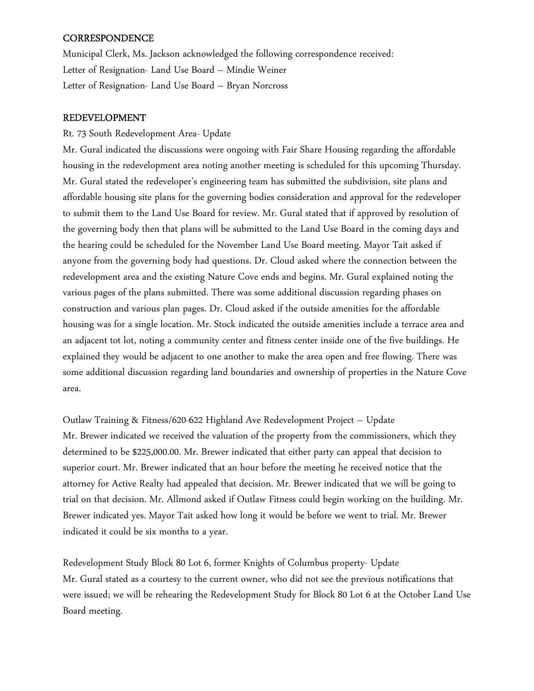## **CORRESPONDENCE**

Municipal Clerk, Ms. Jackson acknowledged the following correspondence received: Letter of Resignation- Land Use Board – Mindie Weiner Letter of Resignation- Land Use Board – Bryan Norcross

## REDEVELOPMENT

## Rt. 73 South Redevelopment Area- Update

Mr. Gural indicated the discussions were ongoing with Fair Share Housing regarding the affordable housing in the redevelopment area noting another meeting is scheduled for this upcoming Thursday. Mr. Gural stated the redeveloper's engineering team has submitted the subdivision, site plans and affordable housing site plans for the governing bodies consideration and approval for the redeveloper to submit them to the Land Use Board for review. Mr. Gural stated that if approved by resolution of the governing body then that plans will be submitted to the Land Use Board in the coming days and the hearing could be scheduled for the November Land Use Board meeting. Mayor Tait asked if anyone from the governing body had questions. Dr. Cloud asked where the connection between the redevelopment area and the existing Nature Cove ends and begins. Mr. Gural explained noting the various pages of the plans submitted. There was some additional discussion regarding phases on construction and various plan pages. Dr. Cloud asked if the outside amenities for the affordable housing was for a single location. Mr. Stock indicated the outside amenities include a terrace area and an adjacent tot lot, noting a community center and fitness center inside one of the five buildings. He explained they would be adjacent to one another to make the area open and free flowing. There was some additional discussion regarding land boundaries and ownership of properties in the Nature Cove area.

Outlaw Training & Fitness/620-622 Highland Ave Redevelopment Project – Update Mr. Brewer indicated we received the valuation of the property from the commissioners, which they determined to be \$225,000.00. Mr. Brewer indicated that either party can appeal that decision to superior court. Mr. Brewer indicated that an hour before the meeting he received notice that the attorney for Active Realty had appealed that decision. Mr. Brewer indicated that we will be going to trial on that decision. Mr. Allmond asked if Outlaw Fitness could begin working on the building. Mr. Brewer indicated yes. Mayor Tait asked how long it would be before we went to trial. Mr. Brewer indicated it could be six months to a year.

Redevelopment Study Block 80 Lot 6, former Knights of Columbus property- Update Mr. Gural stated as a courtesy to the current owner, who did not see the previous notifications that were issued; we will be rehearing the Redevelopment Study for Block 80 Lot 6 at the October Land Use Board meeting.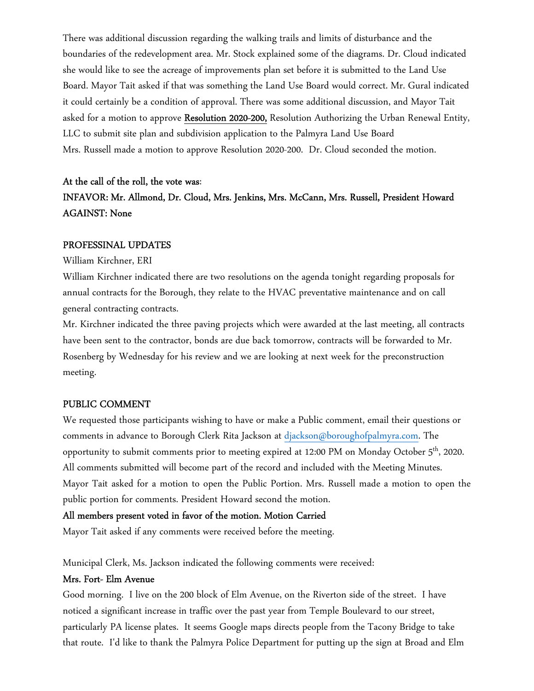There was additional discussion regarding the walking trails and limits of disturbance and the boundaries of the redevelopment area. Mr. Stock explained some of the diagrams. Dr. Cloud indicated she would like to see the acreage of improvements plan set before it is submitted to the Land Use Board. Mayor Tait asked if that was something the Land Use Board would correct. Mr. Gural indicated it could certainly be a condition of approval. There was some additional discussion, and Mayor Tait asked for a motion to approve Resolution 2020-200, Resolution Authorizing the Urban Renewal Entity, LLC to submit site plan and subdivision application to the Palmyra Land Use Board Mrs. Russell made a motion to approve Resolution 2020-200. Dr. Cloud seconded the motion.

### At the call of the roll, the vote was:

# INFAVOR: Mr. Allmond, Dr. Cloud, Mrs. Jenkins, Mrs. McCann, Mrs. Russell, President Howard AGAINST: None

#### PROFESSINAL UPDATES

William Kirchner, ERI

William Kirchner indicated there are two resolutions on the agenda tonight regarding proposals for annual contracts for the Borough, they relate to the HVAC preventative maintenance and on call general contracting contracts.

Mr. Kirchner indicated the three paving projects which were awarded at the last meeting, all contracts have been sent to the contractor, bonds are due back tomorrow, contracts will be forwarded to Mr. Rosenberg by Wednesday for his review and we are looking at next week for the preconstruction meeting.

#### PUBLIC COMMENT

We requested those participants wishing to have or make a Public comment, email their questions or comments in advance to Borough Clerk Rita Jackson at djackson@boroughofpalmyra.com. The opportunity to submit comments prior to meeting expired at 12:00 PM on Monday October 5<sup>th</sup>, 2020. All comments submitted will become part of the record and included with the Meeting Minutes. Mayor Tait asked for a motion to open the Public Portion. Mrs. Russell made a motion to open the public portion for comments. President Howard second the motion.

#### All members present voted in favor of the motion. Motion Carried

Mayor Tait asked if any comments were received before the meeting.

Municipal Clerk, Ms. Jackson indicated the following comments were received:

#### Mrs. Fort- Elm Avenue

Good morning. I live on the 200 block of Elm Avenue, on the Riverton side of the street. I have noticed a significant increase in traffic over the past year from Temple Boulevard to our street, particularly PA license plates. It seems Google maps directs people from the Tacony Bridge to take that route. I'd like to thank the Palmyra Police Department for putting up the sign at Broad and Elm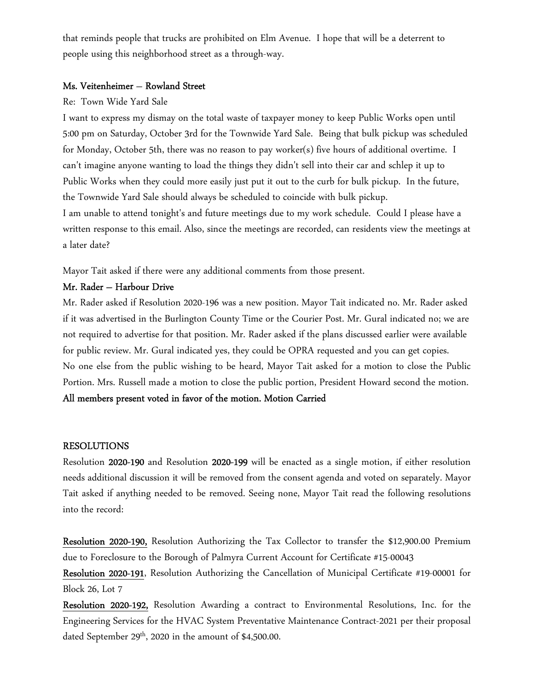that reminds people that trucks are prohibited on Elm Avenue. I hope that will be a deterrent to people using this neighborhood street as a through-way.

#### Ms. Veitenheimer – Rowland Street

#### Re: Town Wide Yard Sale

I want to express my dismay on the total waste of taxpayer money to keep Public Works open until 5:00 pm on Saturday, October 3rd for the Townwide Yard Sale. Being that bulk pickup was scheduled for Monday, October 5th, there was no reason to pay worker(s) five hours of additional overtime. I can't imagine anyone wanting to load the things they didn't sell into their car and schlep it up to Public Works when they could more easily just put it out to the curb for bulk pickup. In the future, the Townwide Yard Sale should always be scheduled to coincide with bulk pickup. I am unable to attend tonight's and future meetings due to my work schedule. Could I please have a written response to this email. Also, since the meetings are recorded, can residents view the meetings at a later date?

Mayor Tait asked if there were any additional comments from those present.

### Mr. Rader – Harbour Drive

Mr. Rader asked if Resolution 2020-196 was a new position. Mayor Tait indicated no. Mr. Rader asked if it was advertised in the Burlington County Time or the Courier Post. Mr. Gural indicated no; we are not required to advertise for that position. Mr. Rader asked if the plans discussed earlier were available for public review. Mr. Gural indicated yes, they could be OPRA requested and you can get copies. No one else from the public wishing to be heard, Mayor Tait asked for a motion to close the Public Portion. Mrs. Russell made a motion to close the public portion, President Howard second the motion. All members present voted in favor of the motion. Motion Carried

#### RESOLUTIONS

Resolution 2020-190 and Resolution 2020-199 will be enacted as a single motion, if either resolution needs additional discussion it will be removed from the consent agenda and voted on separately. Mayor Tait asked if anything needed to be removed. Seeing none, Mayor Tait read the following resolutions into the record:

Resolution 2020-190, Resolution Authorizing the Tax Collector to transfer the \$12,900.00 Premium due to Foreclosure to the Borough of Palmyra Current Account for Certificate #15-00043

Resolution 2020-191, Resolution Authorizing the Cancellation of Municipal Certificate #19-00001 for Block 26, Lot 7

Resolution 2020-192, Resolution Awarding a contract to Environmental Resolutions, Inc. for the Engineering Services for the HVAC System Preventative Maintenance Contract-2021 per their proposal dated September  $29<sup>th</sup>$ , 2020 in the amount of \$4,500.00.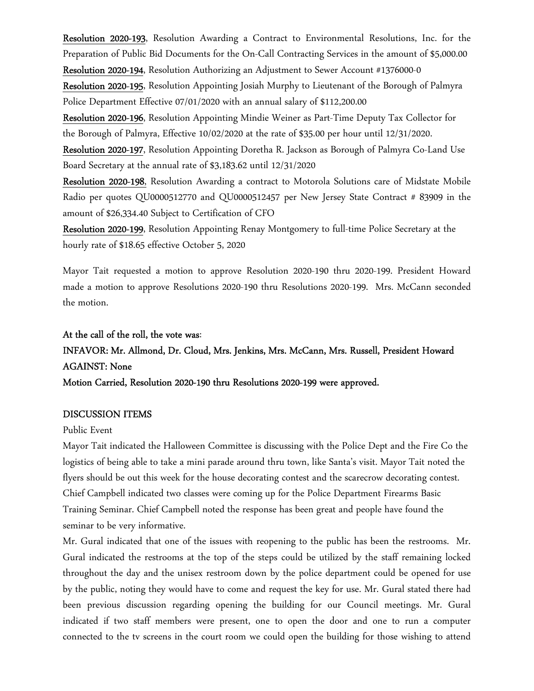Resolution 2020-193, Resolution Awarding a Contract to Environmental Resolutions, Inc. for the Preparation of Public Bid Documents for the On-Call Contracting Services in the amount of \$5,000.00

Resolution 2020-194, Resolution Authorizing an Adjustment to Sewer Account #1376000-0

Resolution 2020-195, Resolution Appointing Josiah Murphy to Lieutenant of the Borough of Palmyra Police Department Effective 07/01/2020 with an annual salary of \$112,200.00

Resolution 2020-196, Resolution Appointing Mindie Weiner as Part-Time Deputy Tax Collector for the Borough of Palmyra, Effective 10/02/2020 at the rate of \$35.00 per hour until 12/31/2020.

Resolution 2020-197, Resolution Appointing Doretha R. Jackson as Borough of Palmyra Co-Land Use Board Secretary at the annual rate of \$3,183.62 until 12/31/2020

Resolution 2020-198, Resolution Awarding a contract to Motorola Solutions care of Midstate Mobile Radio per quotes QU0000512770 and QU0000512457 per New Jersey State Contract # 83909 in the amount of \$26,334.40 Subject to Certification of CFO

Resolution 2020-199, Resolution Appointing Renay Montgomery to full-time Police Secretary at the hourly rate of \$18.65 effective October 5, 2020

Mayor Tait requested a motion to approve Resolution 2020-190 thru 2020-199. President Howard made a motion to approve Resolutions 2020-190 thru Resolutions 2020-199. Mrs. McCann seconded the motion.

### At the call of the roll, the vote was:

# INFAVOR: Mr. Allmond, Dr. Cloud, Mrs. Jenkins, Mrs. McCann, Mrs. Russell, President Howard AGAINST: None

Motion Carried, Resolution 2020-190 thru Resolutions 2020-199 were approved.

#### DISCUSSION ITEMS

#### Public Event

Mayor Tait indicated the Halloween Committee is discussing with the Police Dept and the Fire Co the logistics of being able to take a mini parade around thru town, like Santa's visit. Mayor Tait noted the flyers should be out this week for the house decorating contest and the scarecrow decorating contest. Chief Campbell indicated two classes were coming up for the Police Department Firearms Basic Training Seminar. Chief Campbell noted the response has been great and people have found the seminar to be very informative.

Mr. Gural indicated that one of the issues with reopening to the public has been the restrooms. Mr. Gural indicated the restrooms at the top of the steps could be utilized by the staff remaining locked throughout the day and the unisex restroom down by the police department could be opened for use by the public, noting they would have to come and request the key for use. Mr. Gural stated there had been previous discussion regarding opening the building for our Council meetings. Mr. Gural indicated if two staff members were present, one to open the door and one to run a computer connected to the tv screens in the court room we could open the building for those wishing to attend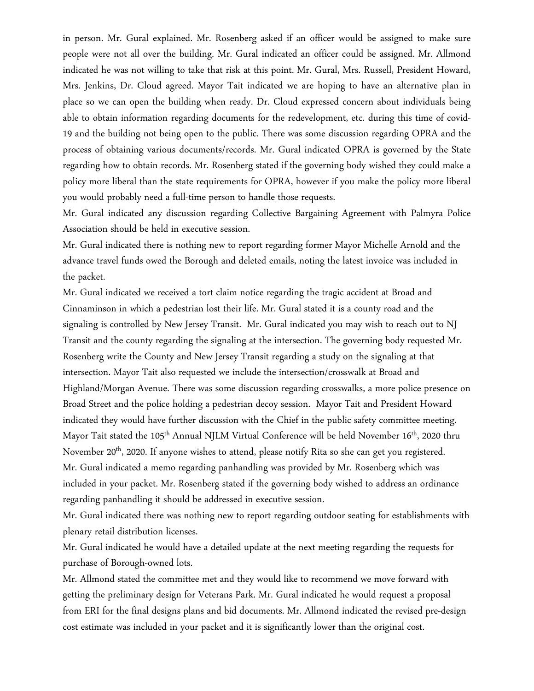in person. Mr. Gural explained. Mr. Rosenberg asked if an officer would be assigned to make sure people were not all over the building. Mr. Gural indicated an officer could be assigned. Mr. Allmond indicated he was not willing to take that risk at this point. Mr. Gural, Mrs. Russell, President Howard, Mrs. Jenkins, Dr. Cloud agreed. Mayor Tait indicated we are hoping to have an alternative plan in place so we can open the building when ready. Dr. Cloud expressed concern about individuals being able to obtain information regarding documents for the redevelopment, etc. during this time of covid-19 and the building not being open to the public. There was some discussion regarding OPRA and the process of obtaining various documents/records. Mr. Gural indicated OPRA is governed by the State regarding how to obtain records. Mr. Rosenberg stated if the governing body wished they could make a policy more liberal than the state requirements for OPRA, however if you make the policy more liberal you would probably need a full-time person to handle those requests.

Mr. Gural indicated any discussion regarding Collective Bargaining Agreement with Palmyra Police Association should be held in executive session.

Mr. Gural indicated there is nothing new to report regarding former Mayor Michelle Arnold and the advance travel funds owed the Borough and deleted emails, noting the latest invoice was included in the packet.

Mr. Gural indicated we received a tort claim notice regarding the tragic accident at Broad and Cinnaminson in which a pedestrian lost their life. Mr. Gural stated it is a county road and the signaling is controlled by New Jersey Transit. Mr. Gural indicated you may wish to reach out to NJ Transit and the county regarding the signaling at the intersection. The governing body requested Mr. Rosenberg write the County and New Jersey Transit regarding a study on the signaling at that intersection. Mayor Tait also requested we include the intersection/crosswalk at Broad and Highland/Morgan Avenue. There was some discussion regarding crosswalks, a more police presence on Broad Street and the police holding a pedestrian decoy session. Mayor Tait and President Howard indicated they would have further discussion with the Chief in the public safety committee meeting. Mayor Tait stated the 105<sup>th</sup> Annual NJLM Virtual Conference will be held November 16<sup>th</sup>, 2020 thru November 20<sup>th</sup>, 2020. If anyone wishes to attend, please notify Rita so she can get you registered. Mr. Gural indicated a memo regarding panhandling was provided by Mr. Rosenberg which was included in your packet. Mr. Rosenberg stated if the governing body wished to address an ordinance regarding panhandling it should be addressed in executive session.

Mr. Gural indicated there was nothing new to report regarding outdoor seating for establishments with plenary retail distribution licenses.

Mr. Gural indicated he would have a detailed update at the next meeting regarding the requests for purchase of Borough-owned lots.

Mr. Allmond stated the committee met and they would like to recommend we move forward with getting the preliminary design for Veterans Park. Mr. Gural indicated he would request a proposal from ERI for the final designs plans and bid documents. Mr. Allmond indicated the revised pre-design cost estimate was included in your packet and it is significantly lower than the original cost.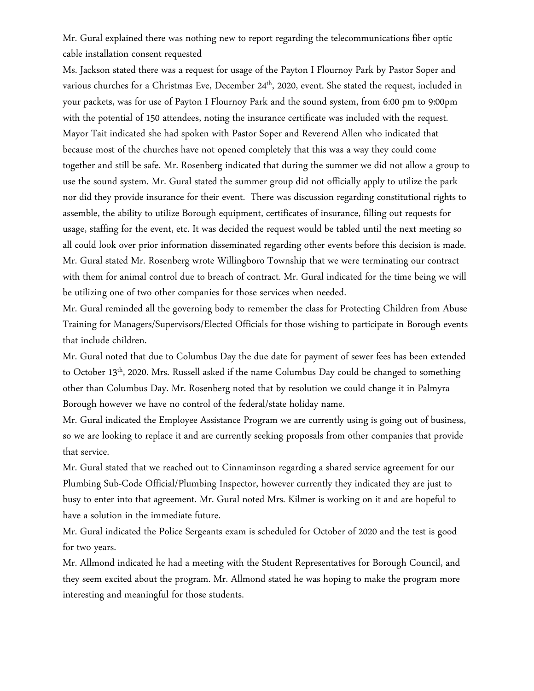Mr. Gural explained there was nothing new to report regarding the telecommunications fiber optic cable installation consent requested

Ms. Jackson stated there was a request for usage of the Payton I Flournoy Park by Pastor Soper and various churches for a Christmas Eve, December 24<sup>th</sup>, 2020, event. She stated the request, included in your packets, was for use of Payton I Flournoy Park and the sound system, from 6:00 pm to 9:00pm with the potential of 150 attendees, noting the insurance certificate was included with the request. Mayor Tait indicated she had spoken with Pastor Soper and Reverend Allen who indicated that because most of the churches have not opened completely that this was a way they could come together and still be safe. Mr. Rosenberg indicated that during the summer we did not allow a group to use the sound system. Mr. Gural stated the summer group did not officially apply to utilize the park nor did they provide insurance for their event. There was discussion regarding constitutional rights to assemble, the ability to utilize Borough equipment, certificates of insurance, filling out requests for usage, staffing for the event, etc. It was decided the request would be tabled until the next meeting so all could look over prior information disseminated regarding other events before this decision is made. Mr. Gural stated Mr. Rosenberg wrote Willingboro Township that we were terminating our contract with them for animal control due to breach of contract. Mr. Gural indicated for the time being we will be utilizing one of two other companies for those services when needed.

Mr. Gural reminded all the governing body to remember the class for Protecting Children from Abuse Training for Managers/Supervisors/Elected Officials for those wishing to participate in Borough events that include children.

Mr. Gural noted that due to Columbus Day the due date for payment of sewer fees has been extended to October 13<sup>th</sup>, 2020. Mrs. Russell asked if the name Columbus Day could be changed to something other than Columbus Day. Mr. Rosenberg noted that by resolution we could change it in Palmyra Borough however we have no control of the federal/state holiday name.

Mr. Gural indicated the Employee Assistance Program we are currently using is going out of business, so we are looking to replace it and are currently seeking proposals from other companies that provide that service.

Mr. Gural stated that we reached out to Cinnaminson regarding a shared service agreement for our Plumbing Sub-Code Official/Plumbing Inspector, however currently they indicated they are just to busy to enter into that agreement. Mr. Gural noted Mrs. Kilmer is working on it and are hopeful to have a solution in the immediate future.

Mr. Gural indicated the Police Sergeants exam is scheduled for October of 2020 and the test is good for two years.

Mr. Allmond indicated he had a meeting with the Student Representatives for Borough Council, and they seem excited about the program. Mr. Allmond stated he was hoping to make the program more interesting and meaningful for those students.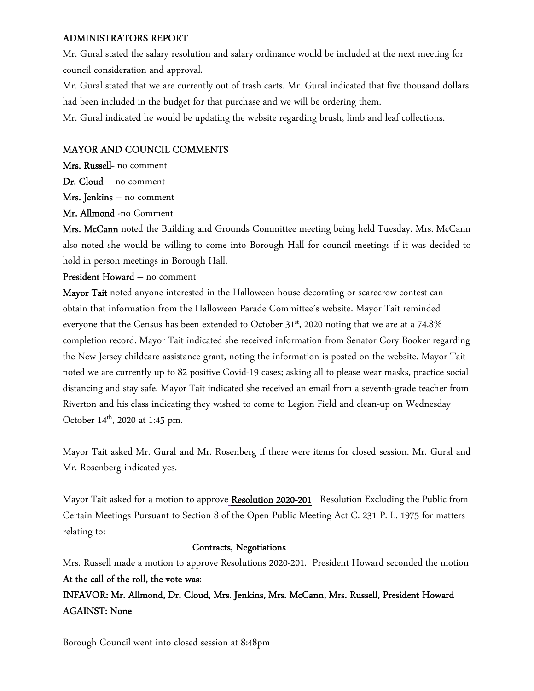## ADMINISTRATORS REPORT

Mr. Gural stated the salary resolution and salary ordinance would be included at the next meeting for council consideration and approval.

Mr. Gural stated that we are currently out of trash carts. Mr. Gural indicated that five thousand dollars had been included in the budget for that purchase and we will be ordering them.

Mr. Gural indicated he would be updating the website regarding brush, limb and leaf collections.

## MAYOR AND COUNCIL COMMENTS

Mrs. Russell- no comment Dr. Cloud – no comment Mrs. Jenkins – no comment

Mr. Allmond -no Comment

Mrs. McCann noted the Building and Grounds Committee meeting being held Tuesday. Mrs. McCann also noted she would be willing to come into Borough Hall for council meetings if it was decided to hold in person meetings in Borough Hall.

## President Howard – no comment

Mayor Tait noted anyone interested in the Halloween house decorating or scarecrow contest can obtain that information from the Halloween Parade Committee's website. Mayor Tait reminded everyone that the Census has been extended to October  $31^{st}$ , 2020 noting that we are at a 74.8% completion record. Mayor Tait indicated she received information from Senator Cory Booker regarding the New Jersey childcare assistance grant, noting the information is posted on the website. Mayor Tait noted we are currently up to 82 positive Covid-19 cases; asking all to please wear masks, practice social distancing and stay safe. Mayor Tait indicated she received an email from a seventh-grade teacher from Riverton and his class indicating they wished to come to Legion Field and clean-up on Wednesday October  $14^{th}$ , 2020 at 1:45 pm.

Mayor Tait asked Mr. Gural and Mr. Rosenberg if there were items for closed session. Mr. Gural and Mr. Rosenberg indicated yes.

Mayor Tait asked for a motion to approve Resolution 2020-201 Resolution Excluding the Public from Certain Meetings Pursuant to Section 8 of the Open Public Meeting Act C. 231 P. L. 1975 for matters relating to:

## Contracts, Negotiations

Mrs. Russell made a motion to approve Resolutions 2020-201. President Howard seconded the motion At the call of the roll, the vote was:

INFAVOR: Mr. Allmond, Dr. Cloud, Mrs. Jenkins, Mrs. McCann, Mrs. Russell, President Howard AGAINST: None